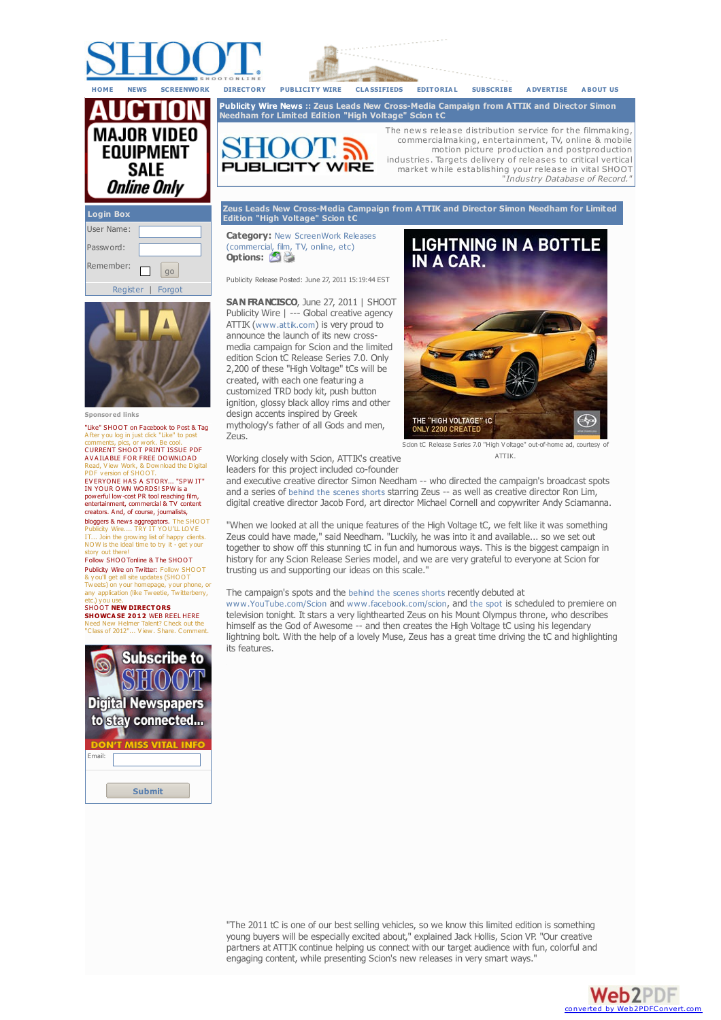





**[Needham](http://www.shootonline.com/go/index.php?name=Pages&op=show&id=ded12-492601-1146770912-2) for [Limited](http://www.shootonline.com/go/index.php?name=Release&op=mine) Edition "High [Voltage"](#page-0-0) Scion tC**

[The](http://www.shootonline.com/go/index.php?name=Classifieds&op=main) news release [distribution](http://www.shootonline.com/go/index.php?name=Pages&op=show&id=ded12-217390-1138571154-2) service for the [filmmaking](http://www.shootonline.com/go/index.php?name=Pages&op=show&id=ded12-217390-1138571154-2)[,](http://www.shootonline.com/go/index.php?name=Pages&op=show&id=ded12-123088-1141333219-2) [co](mailto:classified@shootonline.com)[mmercialmaking,](http://www.shootonline.com/go/index.php?id=ded12-206201-1138309218-2&name=Classifieds&op=view_categ) [entertainment,](http://www.shootonline.com/mobile) TV, online & mobile [motion](http://www.shootonline.com/go/index.php?id=ded12-218843-1138596055-2&name=Classifieds&op=view_categ) picture [production](#page-0-0) and [po](http://www.shootonline.com/go/subscribe)[stproduction](http://www.shootonline.com/go/index.php?name=Pages&op=show&id=5) [indust](http://www.shootonline.com/go/index.php?name=Classifieds&op=edit)ries. Targets delivery of releases to critical [vertical](http://www.shootonline.com/go/index.php?name=Home&op=contactus) market while [est](http://www.shootonline.com/go/data/e.dition/2010/nov/shoot_2010_nov_30_e.dition_lite.pdf )[ablishing](#page-0-0) your [release](mailto:rgriefer@shootonline.com?subject=SHOOT Ad Rates Request) in vital [SHOOT](http://www.shootonline.com/go/index.php?name=Home&op=subscribe) "*[Industry](http://www.shootonline.com/go/images/2012_Editorial_calendar.pdf) [Database](http://www.shootonline.com/go/images/SHOOT_PDFspecs2012.pdf) of [Record."](https://www.b2bmediaportal.com/Register.aspx?fid=SHOD)*

**Zeus Leads New [Cross-Me](http://www.shootonline.com/go/index.php?name=Articles&op=browse)dia [Campaign](http://www.shootonline.com/go/index.php?TypeID=8&name=Articles&op=results) from ATTIK and [Director](http://www.shootonline.com/go/index.php?id=rs-web1-658428-1204045165-2&name=Classifieds&op=view_categ) Simon [Needham](#page-0-0) for [Limited](http://www.shootonline.com/go/index.php?name=Pages&op=show&id=16) Edition "High [Voltage"](http://www.shootonline.com/go/index.php?name=Articles&op=) [Scion](http://www.shootonline.com/go/index.php?TypeID=19&name=Articles&op=results) tC**

**[Publicity](http://www.shootonline.com/go/index.php?name=Pages&op=show&id=ded12-217277-1138569164-2) Wire [News](http://www.shootonline.com/go/index.php?name=Pages&op=show&id=rs-web1-77202-1192197112-2) :: Zeus Leads New [Cross-M](http://www.shootonline.com/go/index.php?name=Pages&op=show&id=ded12-127418-1141403289-2)edia [Campaign](http://www.shootonline.com/go/index.php?name=Pages&op=show&id=ded12-217262-1138569093-2) from [ATTIK](http://www.shootonline.com/go/index.php?name=Pages&op=show&id=rs-web3-1112443-1231975957-2) and [Director](http://www.shootonline.com/go/index.php?name=Pages&op=show&id=ded12-217273-1138569136-2) [Simon](http://www.shootonline.com/go/index.php?name=Pages&op=show&id=1)**

<span id="page-0-0"></span>



**Sponsored** links

"Like" [SHOOT](http://www.shootonline.com/go/index4.php?lid=rs-web2-2658198-1290192182-2) on Facebook to Post & Tag A fter y ou log in just click "Like" to post CURRENT SHOOT PRINT ISSUE PDE C[URRENT](http://www.shootonline.com/go/index4.php?lid=rs-web1-1352602-1212766779-2) SHOOT PRINT ISSUE PDF<br>AVAILABLE FOR FREE DOWNLOAD<br>Read, View Work, & Download the Digital

PDF version of SHOOT.<br>EVERYONE HAS A STORY... "SPW IT" IN YOUR OWN WORDS! SPW is a powerful low-cost PR tool reaching film, [entertainment,](http://www.shootonline.com/go/index4.php?lid=ev-web2-640514-1217454445-2) commercial & TV content creators. A nd, of course, journalists,

bloggers & news aggregators. The SHOOT<br>Publicity Wire.... TRY IT YOU'LL LOVE IT... Join the growing list of happy clients. NOW is the ideal time to try it - get y our

story out there! F ollow [SHOOTonline](http://www.shootonline.com/go/index4.php?lid=rs-web2-2736920-1264775957-2) & The SHOOT

Publicity Wire on Twitter: Follow SHOOT & y ou'll get all site updates (SHOOT Tweets) on y our homepage, y our phone, or any application (like Tweetie, Twitterberry, etc.) y ou use. SHOOT **NEW [DIRECTORS](http://www.shootonline.com/go/index4.php?lid=ded12-697043-1149265325-2)**

## **SHOWCA SE 2012** WEB REEL HERE

ed New Helmer Talent? Check out the "Class of 2012"... View. Share. Comment



**[Category:](http://www.shootonline.com/go/index.php?name=Release&op=results&CategoryID=rs-web2-1750371-1248212070-2)** New ScreenWork [Releases](http://www.shootonline.com/go/index.php?TypeID=4&name=Articles&op=results)

(commercial, film, TV, [online,](http://www.shootonline.com/go/index.php?TypeID=26&name=Articles&op=results) [etc\)](http://www.twitter.com/shootonline) **Options:**

Publicity Release Posted: June 27, 2011 [15:19:44](http://www.shootonline.com/go/index.php?TypeID=ev-web2-194463-1163903034-2&name=Articles&op=results) EST

**SAN FRANCISCO, June 27, 2011 | [SHOOT](http://www.mittomail.com/mail/index.php?action=subscribe&mlt=no&nl=32)** Publicity Wire | --- Global [creative](http://www.shootonline.com/go/index.php?TypeID=9&name=Articles&op=results) agency ATTIK ([www.attik.com](http://www.attik.com)) is very [proud](http://www.shootonline.com/go/index.php?TypeID=24&name=Articles&op=results) to announce the launch of its new crossmedia campaign for Scion and the limited edition Scion tC Release Series 7.0. Only 2,200 of these "High Voltage" tCs will be created, with each one featuring a customized TRD body kit, push button ignition, glossy black alloy rims and other design accents inspired by Greek mythology's father of all Gods and men, Zeus.



Scion tC Release Series 7.0 "High V oltage" out-of-home ad, courtesy of ATTIK.

Working closely with Scion, ATTIK's creative leaders for this project included co-founder

and executive creative director Simon Needham -- who directed the campaign's broadcast spots and a series of behind the [scenes](http://www.youtube.com/watch?v=i57Wmx0vESE) shorts starring Zeus -- as well as creative director Ron Lim, digital creative director Jacob Ford, art director Michael Cornell and copywriter Andy Sciamanna.

2200 CREATED

"When we looked at all the unique features of the High Voltage tC, we felt like it was something Zeus could have made," said Needham. "Luckily, he was into it and available... so we set out together to show off this stunning tC in fun and humorous ways. This is the biggest campaign in history for any Scion Release Series model, and we are very grateful to everyone at Scion for trusting us and supporting our ideas on this scale."

## The campaign's spots and the behind the [scenes](http://www.youtube.com/watch?v=i57Wmx0vESE) shorts recently debuted at

[www.YouTube.com/Scion](http://www.youtube.com/Scion) and [www.facebook.com/scion](http://www.facebook.com/scion), and the [spot](http://www.youtube.com/watch?v=Sa1XbhJDN8k) is scheduled to premiere on television tonight. It stars a very lighthearted Zeus on his Mount Olympus throne, who describes himself as the God of Awesome -- and then creates the High Voltage tC using his legendary lightning bolt. With the help of a lovely Muse, Zeus has a great time driving the tC and highlighting its features.



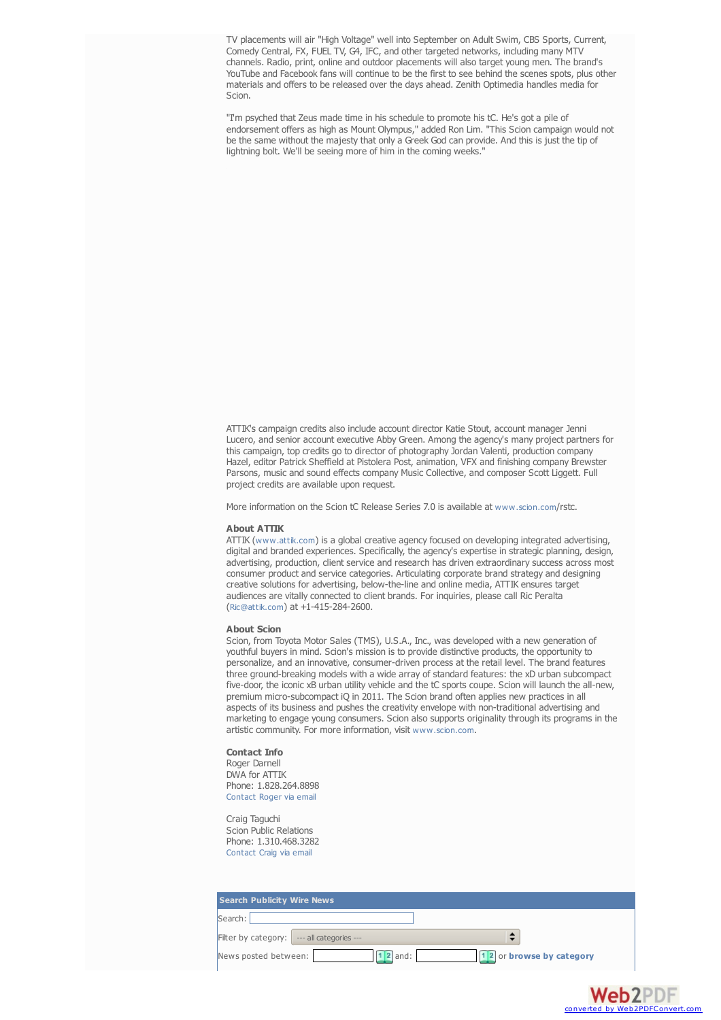TV placements will air "High Voltage" well into September on Adult Swim, CBS Sports, Current, Comedy Central, FX, FUEL TV, G4, IFC, and other targeted networks, including many MTV channels. Radio, print, online and outdoor placements will also target young men. The brand's YouTube and Facebook fans will continue to be the first to see behind the scenes spots, plus other materials and offers to be released over the days ahead. Zenith Optimedia handles media for Scion.

"I'm psyched that Zeus made time in his schedule to promote his tC. He's got a pile of endorsement offers as high as Mount Olympus," added Ron Lim. "This Scion campaign would not be the same without the majesty that only a Greek God can provide. And this is just the tip of lightning bolt. We'll be seeing more of him in the coming weeks."

ATTIK's campaign credits also include account director Katie Stout, account manager Jenni Lucero, and senior account executive Abby Green. Among the agency's many project partners for this campaign, top credits go to director of photography Jordan Valenti, production company Hazel, editor Patrick Sheffield at Pistolera Post, animation, VFX and finishing company Brewster Parsons, music and sound effects company Music Collective, and composer Scott Liggett. Full project credits are available upon request.

More information on the Scion tC Release Series 7.0 is available at [www.scion.com](http://www.scion.com)/rstc.

## **About ATTIK**

ATTIK ([www.attik.com](http://www.attik.com)) is a global creative agency focused on developing integrated advertising, digital and branded experiences. Specifically, the agency's expertise in strategic planning, design, advertising, production, client service and research has driven extraordinary success across most consumer product and service categories. Articulating corporate brand strategy and designing creative solutions for advertising, below-the-line and online media, ATTIK ensures target audiences are vitally connected to client brands. For inquiries, please call Ric Peralta ([Ric@attik.com](mailto:Ric@attik.com?subject=SHOOT Publicity Wire Reader Inquiry)) at +1-415-284-2600.

## **About Scion**

Scion, from Toyota Motor Sales (TMS), U.S.A., Inc., was developed with a new generation of youthful buyers in mind. Scion's mission is to provide distinctive products, the opportunity to personalize, and an innovative, consumer-driven process at the retail level. The brand features three ground-breaking models with a wide array of standard features: the xD urban subcompact five-door, the iconic xB urban utility vehicle and the tC sports coupe. Scion will launch the all-new, premium micro-subcompact iQ in 2011. The Scion brand often applies new practices in all aspects of its business and pushes the creativity envelope with non-traditional advertising and marketing to engage young consumers. Scion also supports originality through its programs in the artistic community. For more information, visit [www.scion.com](http://www.scion.com).

**Contact Info** Roger Darnell DWA for ATTIK Phone: 1.828.264.8898 [Contact](mailto:rd@darnellworks.com?subject=SHOOT Publicity Wire Reader Inquiry) Roger via email

Craig Taguchi Scion Public Relations Phone: 1.310.468.3282 [Contact](mailto:craig_taguchi@toyota.com?subject=SHOOT) Craig via email

| <b>Search Publicity Wire News</b>                               |  |  |  |
|-----------------------------------------------------------------|--|--|--|
| Search:                                                         |  |  |  |
| Filter by category:   --- all categories ---                    |  |  |  |
| $1 2 $ and:<br>12 or browse by category<br>News posted between: |  |  |  |